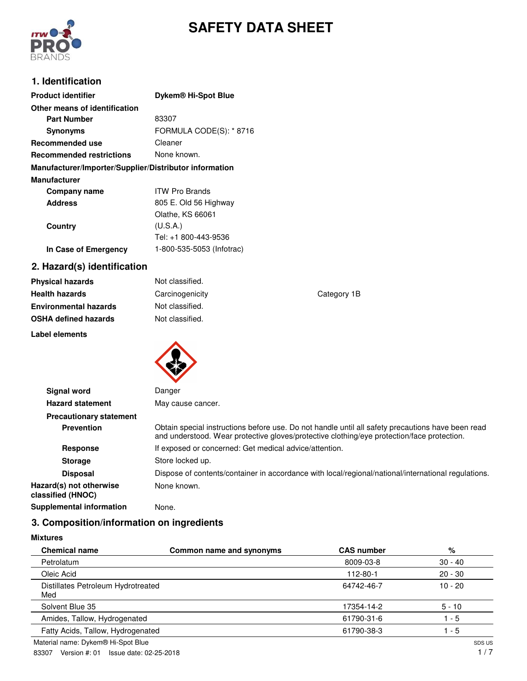

# **SAFETY DATA SHEET**

## **1. Identification**

| <b>Product identifier</b>                              | Dykem <sup>®</sup> Hi-Spot Blue |  |  |
|--------------------------------------------------------|---------------------------------|--|--|
| Other means of identification                          |                                 |  |  |
| <b>Part Number</b>                                     | 83307                           |  |  |
| <b>Synonyms</b>                                        | FORMULA CODE(S): * 8716         |  |  |
| Recommended use                                        | Cleaner                         |  |  |
| <b>Recommended restrictions</b>                        | None known.                     |  |  |
| Manufacturer/Importer/Supplier/Distributor information |                                 |  |  |
| <b>Manufacturer</b>                                    |                                 |  |  |
| Company name                                           | <b>ITW Pro Brands</b>           |  |  |
| <b>Address</b>                                         | 805 E. Old 56 Highway           |  |  |
|                                                        | Olathe, KS 66061                |  |  |
| Country                                                | (U.S.A.)                        |  |  |
|                                                        | Tel: +1 800-443-9536            |  |  |
| In Case of Emergency                                   | 1-800-535-5053 (Infotrac)       |  |  |

## **2. Hazard(s) identification**

| <b>Physical hazards</b>      | Not classified. |             |
|------------------------------|-----------------|-------------|
| <b>Health hazards</b>        | Carcinogenicity | Category 1B |
| <b>Environmental hazards</b> | Not classified. |             |
| <b>OSHA defined hazards</b>  | Not classified. |             |
| Label elements               |                 |             |



| <b>Signal word</b>                           | Danger                                                                                                                                                                                          |
|----------------------------------------------|-------------------------------------------------------------------------------------------------------------------------------------------------------------------------------------------------|
| <b>Hazard statement</b>                      | May cause cancer.                                                                                                                                                                               |
| <b>Precautionary statement</b>               |                                                                                                                                                                                                 |
| <b>Prevention</b>                            | Obtain special instructions before use. Do not handle until all safety precautions have been read<br>and understood. Wear protective gloves/protective clothing/eye protection/face protection. |
| <b>Response</b>                              | If exposed or concerned: Get medical advice/attention.                                                                                                                                          |
| <b>Storage</b>                               | Store locked up.                                                                                                                                                                                |
| <b>Disposal</b>                              | Dispose of contents/container in accordance with local/regional/national/international regulations.                                                                                             |
| Hazard(s) not otherwise<br>classified (HNOC) | None known.                                                                                                                                                                                     |
| <b>Supplemental information</b>              | None.                                                                                                                                                                                           |
|                                              |                                                                                                                                                                                                 |

# **3. Composition/information on ingredients**

**Mixtures**

| <b>Chemical name</b>                      | Common name and synonyms | <b>CAS number</b> | %         |
|-------------------------------------------|--------------------------|-------------------|-----------|
| Petrolatum                                |                          | 8009-03-8         | $30 - 40$ |
| Oleic Acid                                |                          | 112-80-1          | $20 - 30$ |
| Distillates Petroleum Hydrotreated<br>Med |                          | 64742-46-7        | $10 - 20$ |
| Solvent Blue 35                           |                          | 17354-14-2        | $5 - 10$  |
| Amides, Tallow, Hydrogenated              |                          | 61790-31-6        | $-5$      |
| Fatty Acids, Tallow, Hydrogenated         |                          | 61790-38-3        | $-5$      |
| Material name: Dykem® Hi-Spot Blue        |                          |                   | SDS US    |

Material name: Dykem® Hi-Spot Blue

83307 Version #: 01 Issue date: 02-25-2018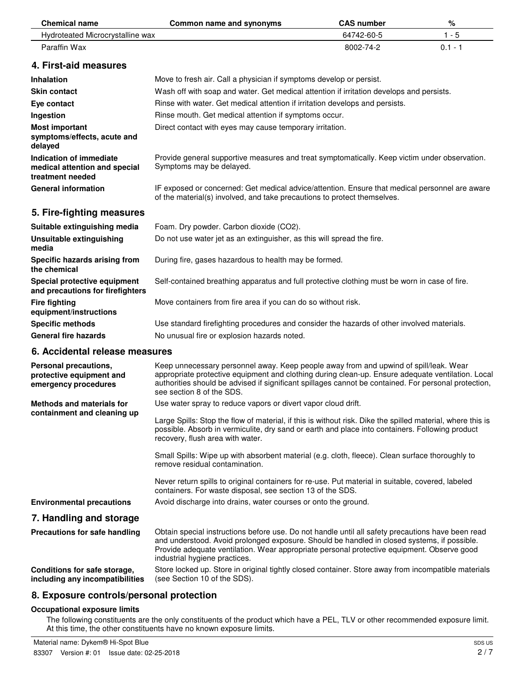| <b>Chemical name</b>                                                         | Common name and synonyms                                                                                                                                                                                                                                                                                                        | <b>CAS number</b> | $\%$      |  |  |
|------------------------------------------------------------------------------|---------------------------------------------------------------------------------------------------------------------------------------------------------------------------------------------------------------------------------------------------------------------------------------------------------------------------------|-------------------|-----------|--|--|
| Hydroteated Microcrystalline wax                                             |                                                                                                                                                                                                                                                                                                                                 | 64742-60-5        | $1 - 5$   |  |  |
| Paraffin Wax                                                                 |                                                                                                                                                                                                                                                                                                                                 | 8002-74-2         | $0.1 - 1$ |  |  |
| 4. First-aid measures                                                        |                                                                                                                                                                                                                                                                                                                                 |                   |           |  |  |
| <b>Inhalation</b>                                                            | Move to fresh air. Call a physician if symptoms develop or persist.                                                                                                                                                                                                                                                             |                   |           |  |  |
| <b>Skin contact</b>                                                          | Wash off with soap and water. Get medical attention if irritation develops and persists.                                                                                                                                                                                                                                        |                   |           |  |  |
| Eye contact                                                                  | Rinse with water. Get medical attention if irritation develops and persists.                                                                                                                                                                                                                                                    |                   |           |  |  |
| Ingestion                                                                    | Rinse mouth. Get medical attention if symptoms occur.                                                                                                                                                                                                                                                                           |                   |           |  |  |
| <b>Most important</b><br>symptoms/effects, acute and<br>delayed              | Direct contact with eyes may cause temporary irritation.                                                                                                                                                                                                                                                                        |                   |           |  |  |
| Indication of immediate<br>medical attention and special<br>treatment needed | Provide general supportive measures and treat symptomatically. Keep victim under observation.<br>Symptoms may be delayed.                                                                                                                                                                                                       |                   |           |  |  |
| <b>General information</b>                                                   | IF exposed or concerned: Get medical advice/attention. Ensure that medical personnel are aware<br>of the material(s) involved, and take precautions to protect themselves.                                                                                                                                                      |                   |           |  |  |
| 5. Fire-fighting measures                                                    |                                                                                                                                                                                                                                                                                                                                 |                   |           |  |  |
| Suitable extinguishing media                                                 | Foam. Dry powder. Carbon dioxide (CO2).                                                                                                                                                                                                                                                                                         |                   |           |  |  |
| <b>Unsuitable extinguishing</b><br>media                                     | Do not use water jet as an extinguisher, as this will spread the fire.                                                                                                                                                                                                                                                          |                   |           |  |  |
| Specific hazards arising from<br>the chemical                                | During fire, gases hazardous to health may be formed.                                                                                                                                                                                                                                                                           |                   |           |  |  |
| Special protective equipment<br>and precautions for firefighters             | Self-contained breathing apparatus and full protective clothing must be worn in case of fire.                                                                                                                                                                                                                                   |                   |           |  |  |
| <b>Fire fighting</b><br>equipment/instructions                               | Move containers from fire area if you can do so without risk.                                                                                                                                                                                                                                                                   |                   |           |  |  |
| <b>Specific methods</b>                                                      | Use standard firefighting procedures and consider the hazards of other involved materials.                                                                                                                                                                                                                                      |                   |           |  |  |
| <b>General fire hazards</b>                                                  | No unusual fire or explosion hazards noted.                                                                                                                                                                                                                                                                                     |                   |           |  |  |
| 6. Accidental release measures                                               |                                                                                                                                                                                                                                                                                                                                 |                   |           |  |  |
| Personal precautions,<br>protective equipment and<br>emergency procedures    | Keep unnecessary personnel away. Keep people away from and upwind of spill/leak. Wear<br>appropriate protective equipment and clothing during clean-up. Ensure adequate ventilation. Local<br>authorities should be advised if significant spillages cannot be contained. For personal protection,<br>see section 8 of the SDS. |                   |           |  |  |
| <b>Methods and materials for</b>                                             | Use water spray to reduce vapors or divert vapor cloud drift.                                                                                                                                                                                                                                                                   |                   |           |  |  |
| containment and cleaning up                                                  | Large Spills: Stop the flow of material, if this is without risk. Dike the spilled material, where this is<br>possible. Absorb in vermiculite, dry sand or earth and place into containers. Following product<br>recovery, flush area with water.                                                                               |                   |           |  |  |
|                                                                              | Small Spills: Wipe up with absorbent material (e.g. cloth, fleece). Clean surface thoroughly to<br>remove residual contamination.                                                                                                                                                                                               |                   |           |  |  |
|                                                                              | Never return spills to original containers for re-use. Put material in suitable, covered, labeled<br>containers. For waste disposal, see section 13 of the SDS.                                                                                                                                                                 |                   |           |  |  |
| <b>Environmental precautions</b>                                             | Avoid discharge into drains, water courses or onto the ground.                                                                                                                                                                                                                                                                  |                   |           |  |  |
| 7. Handling and storage                                                      |                                                                                                                                                                                                                                                                                                                                 |                   |           |  |  |
| <b>Precautions for safe handling</b>                                         | Obtain special instructions before use. Do not handle until all safety precautions have been read<br>and understood. Avoid prolonged exposure. Should be handled in closed systems, if possible.<br>Provide adequate ventilation. Wear appropriate personal protective equipment. Observe good<br>industrial hygiene practices. |                   |           |  |  |
| Conditions for safe storage,<br>including any incompatibilities              | Store locked up. Store in original tightly closed container. Store away from incompatible materials<br>(see Section 10 of the SDS).                                                                                                                                                                                             |                   |           |  |  |

# **8. Exposure controls/personal protection**

#### **Occupational exposure limits**

The following constituents are the only constituents of the product which have a PEL, TLV or other recommended exposure limit. At this time, the other constituents have no known exposure limits.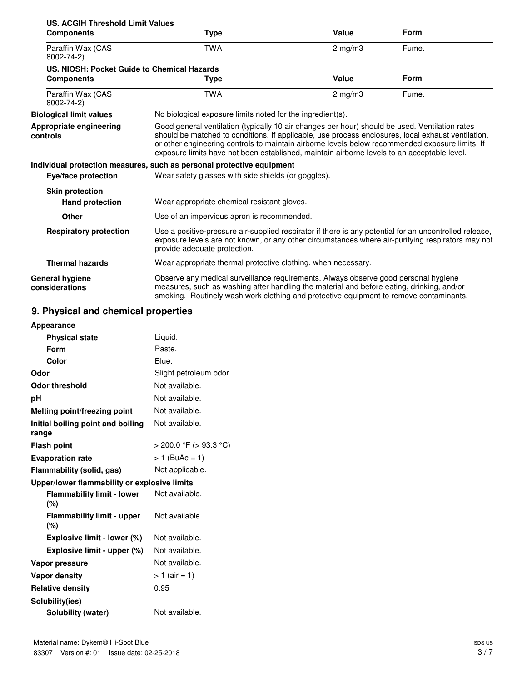| US. ACGIH Threshold Limit Values            |                                                                                                                                                                                                                                                                                                                                                                                                        |              |       |  |  |
|---------------------------------------------|--------------------------------------------------------------------------------------------------------------------------------------------------------------------------------------------------------------------------------------------------------------------------------------------------------------------------------------------------------------------------------------------------------|--------------|-------|--|--|
| <b>Components</b>                           | <b>Type</b>                                                                                                                                                                                                                                                                                                                                                                                            | Value        | Form  |  |  |
| Paraffin Wax (CAS<br>8002-74-2)             | <b>TWA</b>                                                                                                                                                                                                                                                                                                                                                                                             | $2$ mg/m $3$ | Fume. |  |  |
| US. NIOSH: Pocket Guide to Chemical Hazards |                                                                                                                                                                                                                                                                                                                                                                                                        |              |       |  |  |
| <b>Components</b>                           | Type                                                                                                                                                                                                                                                                                                                                                                                                   | Value        | Form  |  |  |
| Paraffin Wax (CAS<br>8002-74-2)             | <b>TWA</b>                                                                                                                                                                                                                                                                                                                                                                                             | $2$ mg/m $3$ | Fume. |  |  |
| <b>Biological limit values</b>              | No biological exposure limits noted for the ingredient(s).                                                                                                                                                                                                                                                                                                                                             |              |       |  |  |
| Appropriate engineering<br>controls         | Good general ventilation (typically 10 air changes per hour) should be used. Ventilation rates<br>should be matched to conditions. If applicable, use process enclosures, local exhaust ventilation,<br>or other engineering controls to maintain airborne levels below recommended exposure limits. If<br>exposure limits have not been established, maintain airborne levels to an acceptable level. |              |       |  |  |
|                                             | Individual protection measures, such as personal protective equipment                                                                                                                                                                                                                                                                                                                                  |              |       |  |  |
| Eye/face protection                         | Wear safety glasses with side shields (or goggles).                                                                                                                                                                                                                                                                                                                                                    |              |       |  |  |
| <b>Skin protection</b>                      |                                                                                                                                                                                                                                                                                                                                                                                                        |              |       |  |  |
| <b>Hand protection</b>                      | Wear appropriate chemical resistant gloves.                                                                                                                                                                                                                                                                                                                                                            |              |       |  |  |
| <b>Other</b>                                | Use of an impervious apron is recommended.                                                                                                                                                                                                                                                                                                                                                             |              |       |  |  |
| <b>Respiratory protection</b>               | Use a positive-pressure air-supplied respirator if there is any potential for an uncontrolled release,<br>exposure levels are not known, or any other circumstances where air-purifying respirators may not<br>provide adequate protection.                                                                                                                                                            |              |       |  |  |
| <b>Thermal hazards</b>                      | Wear appropriate thermal protective clothing, when necessary.                                                                                                                                                                                                                                                                                                                                          |              |       |  |  |
| <b>General hygiene</b><br>considerations    | Observe any medical surveillance requirements. Always observe good personal hygiene<br>measures, such as washing after handling the material and before eating, drinking, and/or<br>smoking. Routinely wash work clothing and protective equipment to remove contaminants.                                                                                                                             |              |       |  |  |

# **9. Physical and chemical properties**

| <b>Appearance</b>                            |                        |  |  |
|----------------------------------------------|------------------------|--|--|
| <b>Physical state</b>                        | Liquid.                |  |  |
| Form                                         | Paste.                 |  |  |
| Color                                        | Blue.                  |  |  |
| Odor                                         | Slight petroleum odor. |  |  |
| <b>Odor threshold</b>                        | Not available.         |  |  |
| рH                                           | Not available.         |  |  |
| Melting point/freezing point                 | Not available.         |  |  |
| Initial boiling point and boiling<br>range   | Not available.         |  |  |
| <b>Flash point</b>                           | > 200.0 °F (> 93.3 °C) |  |  |
| <b>Evaporation rate</b>                      | $> 1$ (BuAc = 1)       |  |  |
| Not applicable.<br>Flammability (solid, gas) |                        |  |  |
| Upper/lower flammability or explosive limits |                        |  |  |
| <b>Flammability limit - lower</b><br>(%)     | Not available.         |  |  |
| <b>Flammability limit - upper</b><br>(%)     | Not available.         |  |  |
| Explosive limit - lower (%)                  | Not available.         |  |  |
| Explosive limit - upper (%)                  | Not available.         |  |  |
| Vapor pressure                               | Not available.         |  |  |
| <b>Vapor density</b>                         | $> 1$ (air = 1)        |  |  |
| <b>Relative density</b>                      | 0.95                   |  |  |
| Solubility(ies)                              |                        |  |  |
| Solubility (water)                           | Not available.         |  |  |
|                                              |                        |  |  |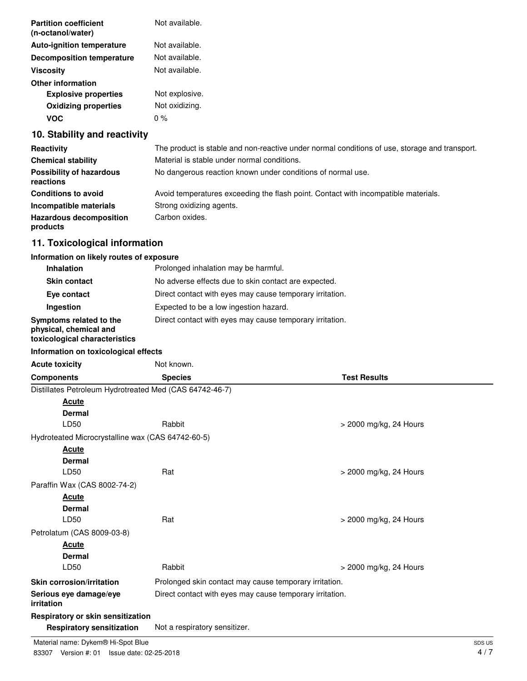| <b>Partition coefficient</b><br>(n-octanol/water) | Not available. |
|---------------------------------------------------|----------------|
| <b>Auto-ignition temperature</b>                  | Not available. |
| <b>Decomposition temperature</b>                  | Not available. |
| <b>Viscosity</b>                                  | Not available. |
| <b>Other information</b>                          |                |
| <b>Explosive properties</b>                       | Not explosive. |
| <b>Oxidizing properties</b>                       | Not oxidizing. |
| <b>VOC</b>                                        | $0\%$          |
| 10. Stability and reactivity                      |                |

| Reactivity                                   | The product is stable and non-reactive under normal conditions of use, storage and transport. |
|----------------------------------------------|-----------------------------------------------------------------------------------------------|
| <b>Chemical stability</b>                    | Material is stable under normal conditions.                                                   |
| <b>Possibility of hazardous</b><br>reactions | No dangerous reaction known under conditions of normal use.                                   |
| <b>Conditions to avoid</b>                   | Avoid temperatures exceeding the flash point. Contact with incompatible materials.            |
| Incompatible materials                       | Strong oxidizing agents.                                                                      |
| <b>Hazardous decomposition</b><br>products   | Carbon oxides.                                                                                |

# **11. Toxicological information**

## **Information on likely routes of exposure**

| <b>Inhalation</b>                                                                  | Prolonged inhalation may be harmful.                     |
|------------------------------------------------------------------------------------|----------------------------------------------------------|
| <b>Skin contact</b>                                                                | No adverse effects due to skin contact are expected.     |
| Eye contact                                                                        | Direct contact with eyes may cause temporary irritation. |
| Ingestion                                                                          | Expected to be a low ingestion hazard.                   |
| Symptoms related to the<br>physical, chemical and<br>toxicological characteristics | Direct contact with eyes may cause temporary irritation. |
|                                                                                    |                                                          |

|  | Information on toxicological effects |  |
|--|--------------------------------------|--|
|  |                                      |  |

| <b>Acute toxicity</b>                                   | Not known.                                               |                        |  |
|---------------------------------------------------------|----------------------------------------------------------|------------------------|--|
| <b>Components</b>                                       | <b>Species</b>                                           | <b>Test Results</b>    |  |
| Distillates Petroleum Hydrotreated Med (CAS 64742-46-7) |                                                          |                        |  |
| Acute                                                   |                                                          |                        |  |
| <b>Dermal</b>                                           |                                                          |                        |  |
| LD50                                                    | Rabbit                                                   | > 2000 mg/kg, 24 Hours |  |
| Hydroteated Microcrystalline wax (CAS 64742-60-5)       |                                                          |                        |  |
| <b>Acute</b>                                            |                                                          |                        |  |
| <b>Dermal</b>                                           |                                                          |                        |  |
| LD50                                                    | Rat                                                      | > 2000 mg/kg, 24 Hours |  |
| Paraffin Wax (CAS 8002-74-2)                            |                                                          |                        |  |
| <b>Acute</b>                                            |                                                          |                        |  |
| <b>Dermal</b>                                           |                                                          |                        |  |
| LD50                                                    | Rat                                                      | > 2000 mg/kg, 24 Hours |  |
| Petrolatum (CAS 8009-03-8)                              |                                                          |                        |  |
| <b>Acute</b>                                            |                                                          |                        |  |
| <b>Dermal</b>                                           |                                                          |                        |  |
| LD50                                                    | Rabbit                                                   | > 2000 mg/kg, 24 Hours |  |
| <b>Skin corrosion/irritation</b>                        | Prolonged skin contact may cause temporary irritation.   |                        |  |
| Serious eye damage/eye<br>irritation                    | Direct contact with eyes may cause temporary irritation. |                        |  |
| Respiratory or skin sensitization                       |                                                          |                        |  |
| <b>Respiratory sensitization</b>                        | Not a respiratory sensitizer.                            |                        |  |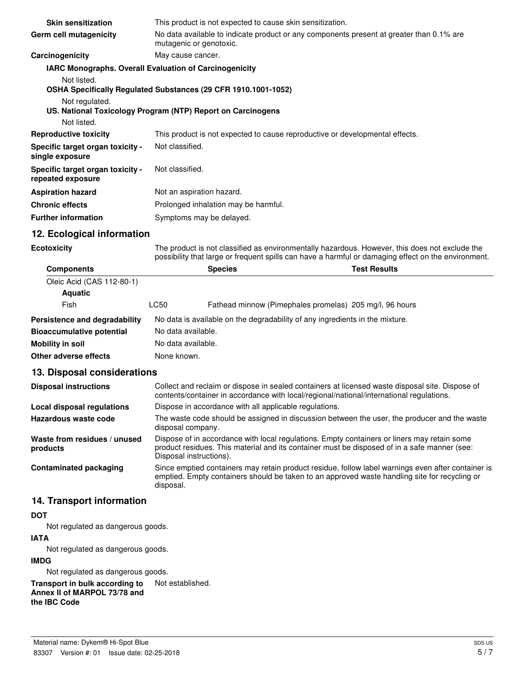| <b>Skin sensitization</b>                                     | This product is not expected to cause skin sensitization.                                                                                                                                             |                                                                |                                                                                          |  |
|---------------------------------------------------------------|-------------------------------------------------------------------------------------------------------------------------------------------------------------------------------------------------------|----------------------------------------------------------------|------------------------------------------------------------------------------------------|--|
| Germ cell mutagenicity                                        |                                                                                                                                                                                                       | mutagenic or genotoxic.                                        | No data available to indicate product or any components present at greater than 0.1% are |  |
| Carcinogenicity                                               | May cause cancer.                                                                                                                                                                                     |                                                                |                                                                                          |  |
| <b>IARC Monographs. Overall Evaluation of Carcinogenicity</b> |                                                                                                                                                                                                       |                                                                |                                                                                          |  |
| Not listed.                                                   |                                                                                                                                                                                                       |                                                                |                                                                                          |  |
|                                                               |                                                                                                                                                                                                       | OSHA Specifically Regulated Substances (29 CFR 1910.1001-1052) |                                                                                          |  |
| Not regulated.                                                |                                                                                                                                                                                                       |                                                                |                                                                                          |  |
| US. National Toxicology Program (NTP) Report on Carcinogens   |                                                                                                                                                                                                       |                                                                |                                                                                          |  |
| Not listed.                                                   |                                                                                                                                                                                                       |                                                                |                                                                                          |  |
| <b>Reproductive toxicity</b>                                  | This product is not expected to cause reproductive or developmental effects.                                                                                                                          |                                                                |                                                                                          |  |
| Specific target organ toxicity -<br>single exposure           | Not classified.                                                                                                                                                                                       |                                                                |                                                                                          |  |
| Specific target organ toxicity -<br>repeated exposure         | Not classified.                                                                                                                                                                                       |                                                                |                                                                                          |  |
| <b>Aspiration hazard</b>                                      | Not an aspiration hazard.                                                                                                                                                                             |                                                                |                                                                                          |  |
| <b>Chronic effects</b>                                        | Prolonged inhalation may be harmful.                                                                                                                                                                  |                                                                |                                                                                          |  |
| <b>Further information</b>                                    | Symptoms may be delayed.                                                                                                                                                                              |                                                                |                                                                                          |  |
| 12. Ecological information                                    |                                                                                                                                                                                                       |                                                                |                                                                                          |  |
| <b>Ecotoxicity</b>                                            | The product is not classified as environmentally hazardous. However, this does not exclude the<br>possibility that large or frequent spills can have a harmful or damaging effect on the environment. |                                                                |                                                                                          |  |
| <b>Components</b>                                             |                                                                                                                                                                                                       | <b>Species</b>                                                 | <b>Test Results</b>                                                                      |  |
| Oleic Acid (CAS 112-80-1)                                     |                                                                                                                                                                                                       |                                                                |                                                                                          |  |
| <b>Aquatic</b>                                                |                                                                                                                                                                                                       |                                                                |                                                                                          |  |
| <b>Fish</b>                                                   | I C50                                                                                                                                                                                                 |                                                                | Eathead minnow (Pimephales promelas) 205 mg/l 96 hours                                   |  |

| .                                | ∟∪∪                | <u>i amodu milliow (i lingphalos promolas). Los mun, so noan</u>             |  |
|----------------------------------|--------------------|------------------------------------------------------------------------------|--|
| Persistence and degradability    |                    | No data is available on the degradability of any ingredients in the mixture. |  |
| <b>Bioaccumulative potential</b> | No data available. |                                                                              |  |
| Mobility in soil                 | No data available. |                                                                              |  |
| Other adverse effects            | None known.        |                                                                              |  |

## **13. Disposal considerations**

| <b>Disposal instructions</b>             | Collect and reclaim or dispose in sealed containers at licensed waste disposal site. Dispose of<br>contents/container in accordance with local/regional/national/international regulations.                            |  |  |
|------------------------------------------|------------------------------------------------------------------------------------------------------------------------------------------------------------------------------------------------------------------------|--|--|
| <b>Local disposal regulations</b>        | Dispose in accordance with all applicable regulations.                                                                                                                                                                 |  |  |
| Hazardous waste code                     | The waste code should be assigned in discussion between the user, the producer and the waste<br>disposal company.                                                                                                      |  |  |
| Waste from residues / unused<br>products | Dispose of in accordance with local regulations. Empty containers or liners may retain some<br>product residues. This material and its container must be disposed of in a safe manner (see:<br>Disposal instructions). |  |  |
| <b>Contaminated packaging</b>            | Since emptied containers may retain product residue, follow label warnings even after container is<br>emptied. Empty containers should be taken to an approved waste handling site for recycling or<br>disposal.       |  |  |

# **14. Transport information**

### **DOT**

Not regulated as dangerous goods.

### **IATA**

Not regulated as dangerous goods.

### **IMDG**

Not regulated as dangerous goods.

**Transport in bulk according to** Not established. **Annex II of MARPOL 73/78 and the IBC Code**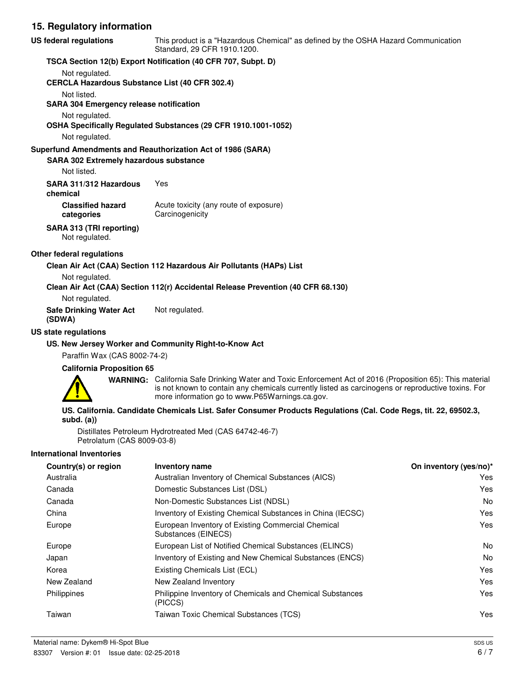#### **15. Regulatory information**

| <b>US federal regulations</b>                                           | This product is a "Hazardous Chemical" as defined by the OSHA Hazard Communication<br>Standard, 29 CFR 1910.1200.                                                                                                                                                |                        |  |  |
|-------------------------------------------------------------------------|------------------------------------------------------------------------------------------------------------------------------------------------------------------------------------------------------------------------------------------------------------------|------------------------|--|--|
|                                                                         | TSCA Section 12(b) Export Notification (40 CFR 707, Subpt. D)                                                                                                                                                                                                    |                        |  |  |
| Not regulated.<br><b>CERCLA Hazardous Substance List (40 CFR 302.4)</b> |                                                                                                                                                                                                                                                                  |                        |  |  |
| Not listed.<br><b>SARA 304 Emergency release notification</b>           |                                                                                                                                                                                                                                                                  |                        |  |  |
| Not regulated.                                                          | OSHA Specifically Regulated Substances (29 CFR 1910.1001-1052)                                                                                                                                                                                                   |                        |  |  |
| Not regulated.                                                          |                                                                                                                                                                                                                                                                  |                        |  |  |
| <b>SARA 302 Extremely hazardous substance</b><br>Not listed.            | Superfund Amendments and Reauthorization Act of 1986 (SARA)                                                                                                                                                                                                      |                        |  |  |
| SARA 311/312 Hazardous<br>chemical                                      | Yes                                                                                                                                                                                                                                                              |                        |  |  |
| <b>Classified hazard</b><br>categories                                  | Acute toxicity (any route of exposure)<br>Carcinogenicity                                                                                                                                                                                                        |                        |  |  |
| SARA 313 (TRI reporting)<br>Not regulated.                              |                                                                                                                                                                                                                                                                  |                        |  |  |
| Other federal regulations                                               |                                                                                                                                                                                                                                                                  |                        |  |  |
|                                                                         | Clean Air Act (CAA) Section 112 Hazardous Air Pollutants (HAPs) List                                                                                                                                                                                             |                        |  |  |
| Not regulated.                                                          |                                                                                                                                                                                                                                                                  |                        |  |  |
| Not regulated.                                                          | Clean Air Act (CAA) Section 112(r) Accidental Release Prevention (40 CFR 68.130)                                                                                                                                                                                 |                        |  |  |
| <b>Safe Drinking Water Act</b><br>(SDWA)                                | Not regulated.                                                                                                                                                                                                                                                   |                        |  |  |
| <b>US state regulations</b>                                             |                                                                                                                                                                                                                                                                  |                        |  |  |
| Paraffin Wax (CAS 8002-74-2)                                            | US. New Jersey Worker and Community Right-to-Know Act                                                                                                                                                                                                            |                        |  |  |
| <b>California Proposition 65</b>                                        |                                                                                                                                                                                                                                                                  |                        |  |  |
|                                                                         | WARNING: California Safe Drinking Water and Toxic Enforcement Act of 2016 (Proposition 65): This material<br>is not known to contain any chemicals currently listed as carcinogens or reproductive toxins. For<br>more information go to www.P65Warnings.ca.gov. |                        |  |  |
| subd. $(a)$                                                             | US. California. Candidate Chemicals List. Safer Consumer Products Regulations (Cal. Code Regs, tit. 22, 69502.3,                                                                                                                                                 |                        |  |  |
| Petrolatum (CAS 8009-03-8)                                              | Distillates Petroleum Hydrotreated Med (CAS 64742-46-7)                                                                                                                                                                                                          |                        |  |  |
| <b>International Inventories</b>                                        |                                                                                                                                                                                                                                                                  |                        |  |  |
| Country(s) or region                                                    | <b>Inventory name</b>                                                                                                                                                                                                                                            | On inventory (yes/no)* |  |  |
| Australia                                                               | Australian Inventory of Chemical Substances (AICS)                                                                                                                                                                                                               | Yes                    |  |  |
| Canada                                                                  | Domestic Substances List (DSL)                                                                                                                                                                                                                                   | Yes                    |  |  |
| Canada                                                                  | Non-Domestic Substances List (NDSL)                                                                                                                                                                                                                              | No                     |  |  |
| China                                                                   | Inventory of Existing Chemical Substances in China (IECSC)                                                                                                                                                                                                       | Yes                    |  |  |
| Europe                                                                  | European Inventory of Existing Commercial Chemical<br>Substances (EINECS)                                                                                                                                                                                        | Yes                    |  |  |

Europe **European List of Notified Chemical Substances (ELINCS)** No Japan Inventory of Existing and New Chemical Substances (ENCS) No Korea **Existing Chemicals List (ECL)** Korea **EXISTE**